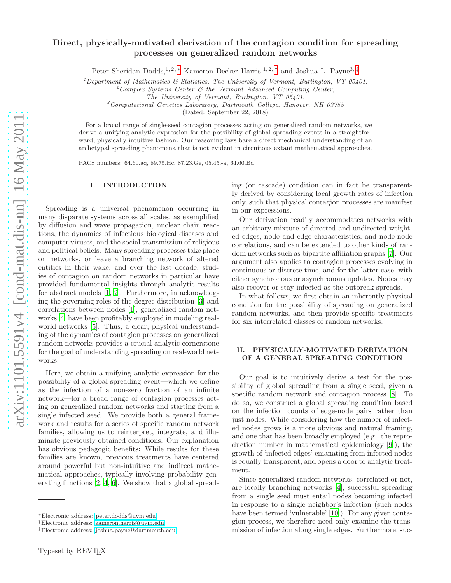# Direct, physically-motivated derivation of the contagion condition for spreading processes on generalized random networks

Peter Sheridan Dodds,<sup>1, 2, \*</sup> Kameron Decker Harris,<sup>1, 2, [†](#page-0-1)</sup> and Joshua L. Payne<sup>3, [‡](#page-0-2)</sup>

<sup>1</sup>Department of Mathematics  $\mathcal{B}$  Statistics, The University of Vermont, Burlington, VT 05401.

 $2^{\circ}$ Complex Systems Center  $\mathcal{B}$  the Vermont Advanced Computing Center,

The University of Vermont, Burlington, VT 05401.

<sup>3</sup>Computational Genetics Laboratory, Dartmouth College, Hanover, NH 03755

(Dated: September 22, 2018)

For a broad range of single-seed contagion processes acting on generalized random networks, we derive a unifying analytic expression for the possibility of global spreading events in a straightforward, physically intuitive fashion. Our reasoning lays bare a direct mechanical understanding of an archetypal spreading phenomena that is not evident in circuitous extant mathematical approaches.

PACS numbers: 64.60.aq, 89.75.Hc, 87.23.Ge, 05.45.-a, 64.60.Bd

#### I. INTRODUCTION

Spreading is a universal phenomenon occurring in many disparate systems across all scales, as exemplified by diffusion and wave propagation, nuclear chain reactions, the dynamics of infectious biological diseases and computer viruses, and the social transmission of religious and political beliefs. Many spreading processes take place on networks, or leave a branching network of altered entities in their wake, and over the last decade, studies of contagion on random networks in particular have provided fundamental insights through analytic results for abstract models [\[1,](#page-3-0) [2](#page-3-1)]. Furthermore, in acknowledging the governing roles of the degree distribution [\[3](#page-3-2)] and correlations between nodes [\[1\]](#page-3-0), generalized random networks [\[4](#page-4-0)] have been profitably employed in modeling realworld networks [\[5](#page-4-1)]. Thus, a clear, physical understanding of the dynamics of contagion processes on generalized random networks provides a crucial analytic cornerstone for the goal of understanding spreading on real-world networks.

Here, we obtain a unifying analytic expression for the possibility of a global spreading event—which we define as the infection of a non-zero fraction of an infinite network—for a broad range of contagion processes acting on generalized random networks and starting from a single infected seed. We provide both a general framework and results for a series of specific random network families, allowing us to reinterpret, integrate, and illuminate previously obtained conditions. Our explanation has obvious pedagogic benefits: While results for these families are known, previous treatments have centered around powerful but non-intuitive and indirect mathematical approaches, typically involving probability generating functions [\[2,](#page-3-1) [4](#page-4-0), [6\]](#page-4-2). We show that a global spreading (or cascade) condition can in fact be transparently derived by considering local growth rates of infection only, such that physical contagion processes are manifest in our expressions.

Our derivation readily accommodates networks with an arbitrary mixture of directed and undirected weighted edges, node and edge characteristics, and node-node correlations, and can be extended to other kinds of random networks such as bipartite affiliation graphs [\[7](#page-4-3)]. Our argument also applies to contagion processes evolving in continuous or discrete time, and for the latter case, with either synchronous or asynchronous updates. Nodes may also recover or stay infected as the outbreak spreads.

In what follows, we first obtain an inherently physical condition for the possibility of spreading on generalized random networks, and then provide specific treatments for six interrelated classes of random networks.

# II. PHYSICALLY-MOTIVATED DERIVATION OF A GENERAL SPREADING CONDITION

Our goal is to intuitively derive a test for the possibility of global spreading from a single seed, given a specific random network and contagion process [\[8](#page-4-4)]. To do so, we construct a global spreading condition based on the infection counts of edge-node pairs rather than just nodes. While considering how the number of infected nodes grows is a more obvious and natural framing, and one that has been broadly employed (e.g., the reproduction number in mathematical epidemiology [\[9\]](#page-4-5)), the growth of 'infected edges' emanating from infected nodes is equally transparent, and opens a door to analytic treatment.

Since generalized random networks, correlated or not, are locally branching networks [\[4\]](#page-4-0), successful spreading from a single seed must entail nodes becoming infected in response to a single neighbor's infection (such nodes have been termed 'vulnerable' [\[10](#page-4-6)]). For any given contagion process, we therefore need only examine the transmission of infection along single edges. Furthermore, suc-

<span id="page-0-0"></span><sup>∗</sup>Electronic address: [peter.dodds@uvm.edu](mailto:peter.dodds@uvm.edu)

<span id="page-0-1"></span><sup>†</sup>Electronic address: [kameron.harris@uvm.edu](mailto:kameron.harris@uvm.edu)

<span id="page-0-2"></span><sup>‡</sup>Electronic address: [joshua.payne@dartmouth.edu](mailto:joshua.payne@dartmouth.edu)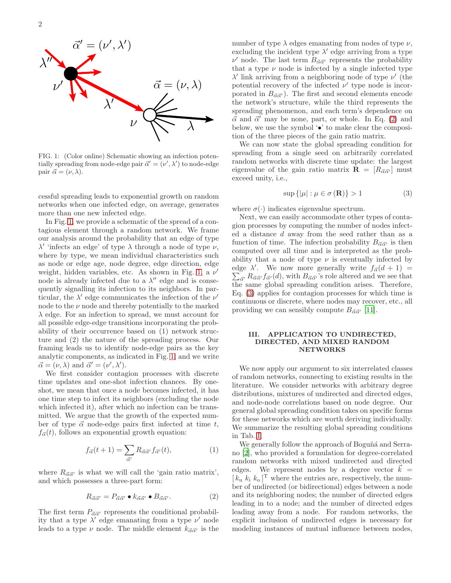

<span id="page-1-0"></span>FIG. 1: (Color online) Schematic showing an infection potentially spreading from node-edge pair  $\vec{\alpha}' = (\nu', \lambda')$  to node-edge pair  $\vec{\alpha} = (\nu, \lambda)$ .

cessful spreading leads to exponential growth on random networks when one infected edge, on average, generates more than one new infected edge.

In Fig. [1,](#page-1-0) we provide a schematic of the spread of a contagious element through a random network. We frame our analysis around the probability that an edge of type  $\lambda'$  'infects an edge' of type  $\lambda$  through a node of type  $\nu$ , where by type, we mean individual characteristics such as node or edge age, node degree, edge direction, edge weight, hidden variables, etc. As shown in Fig. [1,](#page-1-0) a  $\nu'$ node is already infected due to a  $\lambda''$  edge and is consequently signalling its infection to its neighbors. In particular, the  $\lambda'$  edge communicates the infection of the  $\nu'$ node to the  $\nu$  node and thereby potentially to the marked  $\lambda$  edge. For an infection to spread, we must account for all possible edge-edge transitions incorporating the probability of their occurrence based on (1) network structure and (2) the nature of the spreading process. Our framing leads us to identify node-edge pairs as the key analytic components, as indicated in Fig. [1,](#page-1-0) and we write  $\vec{\alpha} = (\nu, \lambda)$  and  $\vec{\alpha}' = (\nu', \lambda').$ 

We first consider contagion processes with discrete time updates and one-shot infection chances. By oneshot, we mean that once a node becomes infected, it has one time step to infect its neighbors (excluding the node which infected it), after which no infection can be transmitted. We argue that the growth of the expected number of type  $\vec{\alpha}$  node-edge pairs first infected at time t,  $f_{\vec{\alpha}}(t)$ , follows an exponential growth equation:

$$
f_{\vec{\alpha}}(t+1) = \sum_{\vec{\alpha}'} R_{\vec{\alpha}\vec{\alpha}'} f_{\vec{\alpha}'}(t), \qquad (1)
$$

where  $R_{\vec{\alpha}\vec{\alpha}'}$  is what we will call the 'gain ratio matrix', and which possesses a three-part form:

<span id="page-1-1"></span>
$$
R_{\vec{\alpha}\vec{\alpha}'} = P_{\vec{\alpha}\vec{\alpha}'} \bullet k_{\vec{\alpha}\vec{\alpha}'} \bullet B_{\vec{\alpha}\vec{\alpha}'}.
$$
 (2)

The first term  $P_{\vec{\alpha}\vec{\alpha}'}$  represents the conditional probability that a type  $\lambda'$  edge emanating from a type  $\nu'$  node leads to a type  $\nu$  node. The middle element  $k_{\vec{\alpha} \vec{\alpha}'}$  is the number of type  $\lambda$  edges emanating from nodes of type  $\nu$ , excluding the incident type  $\lambda'$  edge arriving from a type  $\nu'$  node. The last term  $B_{\vec{\alpha}\vec{\alpha}'}$  represents the probability that a type  $\nu$  node is infected by a single infected type  $\lambda'$  link arriving from a neighboring node of type  $\nu'$  (the potential recovery of the infected  $\nu'$  type node is incorporated in  $B_{\vec{\alpha}\vec{\alpha}'}$ ). The first and second elements encode the network's structure, while the third represents the spreading phenomenon, and each term's dependence on  $\vec{\alpha}$  and  $\vec{\alpha}'$  may be none, part, or whole. In Eq. [\(2\)](#page-1-1) and below, we use the symbol '•' to make clear the composition of the three pieces of the gain ratio matrix.

We can now state the global spreading condition for spreading from a single seed on arbitrarily correlated random networks with discrete time update: the largest eigenvalue of the gain ratio matrix  $\mathbf{R} = [R_{\vec{\alpha} \vec{\alpha}'}]$  must exceed unity, i.e.,

<span id="page-1-2"></span>
$$
\sup\left\{ \left|\mu\right|:\mu\in\sigma\left(\mathbf{R}\right)\right\} >1\tag{3}
$$

where  $\sigma(\cdot)$  indicates eigenvalue spectrum.

Next, we can easily accommodate other types of contagion processes by computing the number of nodes infected a distance d away from the seed rather than as a function of time. The infection probability  $B_{\vec{\alpha}\vec{\alpha}'}$  is then computed over all time and is interpreted as the probability that a node of type  $\nu$  is eventually infected by edge  $\lambda'$ . We now more generally write  $f_{\vec{\alpha}}(d+1)$  =  $\sum_{\vec{\alpha}'} R_{\vec{\alpha}\vec{\alpha}'} f_{\vec{\alpha}'}(d)$ , with  $B_{\vec{\alpha}\vec{\alpha}'}$ 's role altered and we see that the same global spreading condition arises. Therefore, Eq. [\(3\)](#page-1-2) applies for contagion processes for which time is continuous or discrete, where nodes may recover, etc., all providing we can sensibly compute  $B_{\vec{\alpha}\vec{\alpha}'}$  [\[11](#page-4-7)].

# III. APPLICATION TO UNDIRECTED, DIRECTED, AND MIXED RANDOM NETWORKS

We now apply our argument to six interrelated classes of random networks, connecting to existing results in the literature. We consider networks with arbitrary degree distributions, mixtures of undirected and directed edges, and node-node correlations based on node degree. Our general global spreading condition takes on specific forms for these networks which are worth deriving individually. We summarize the resulting global spreading conditions in Tab. [I.](#page-2-0)

We generally follow the approach of Boguñá and Serrano [\[2\]](#page-3-1), who provided a formulation for degree-correlated random networks with mixed undirected and directed edges. We represent nodes by a degree vector  $\vec{k}$  =  $[k_{\rm u} \, k_{\rm i} \, k_{\rm o}]^{\rm T}$  where the entries are, respectively, the number of undirected (or bidirectional) edges between a node and its neighboring nodes; the number of directed edges leading in to a node; and the number of directed edges leading away from a node. For random networks, the explicit inclusion of undirected edges is necessary for modeling instances of mutual influence between nodes,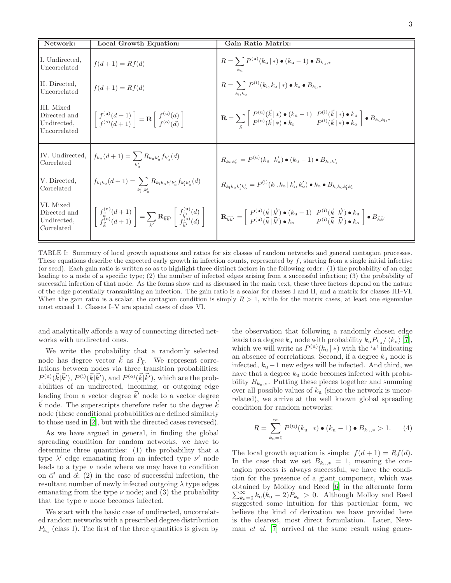| Network:                                                  | Local Growth Equation:                                                                                                                                    | Gain Ratio Matrix:                                                                                                                                                                                                                                                                                                                                                                                                                                                                                    |
|-----------------------------------------------------------|-----------------------------------------------------------------------------------------------------------------------------------------------------------|-------------------------------------------------------------------------------------------------------------------------------------------------------------------------------------------------------------------------------------------------------------------------------------------------------------------------------------------------------------------------------------------------------------------------------------------------------------------------------------------------------|
| I. Undirected,<br>Uncorrelated                            | $f(d+1) = Rf(d)$                                                                                                                                          | $R=\sum_{k_\text{u}} P^{(\text{u})}(k_\text{u} \, \, \ast) \bullet (k_\text{u}-1) \bullet B_{k_\text{u},\ast}$                                                                                                                                                                                                                                                                                                                                                                                        |
| II. Directed.<br>Uncorrelated                             | $f(d+1) = Rf(d)$                                                                                                                                          | $R = \sum P^{(i)}(k_i, k_o   *) \bullet k_o \bullet B_{k_i,*}$                                                                                                                                                                                                                                                                                                                                                                                                                                        |
| III. Mixed<br>Directed and<br>Undirected,<br>Uncorrelated | $\left[\begin{array}{c} f^{(u)}(d+1) \\ f^{(o)}(d+1) \end{array}\right] = \mathbf{R} \left[\begin{array}{c} f^{(u)}(d) \\ f^{(o)}(d) \end{array}\right].$ | $\mathbf{R} = \sum_{\vec{\boldsymbol{\tau}}} \begin{bmatrix} P^{(u)}(\vec{k}\, \,*) \bullet (k_u-1) & P^{(i)}(\vec{k}\, \,*) \bullet k_u \\ P^{(u)}(\vec{k}\, \,*) \bullet k_o & P^{(i)}(\vec{k}\, \,*) \bullet k_o \end{bmatrix} \bullet B_{k_u k_i,*}$                                                                                                                                                                                                                                              |
| IV. Undirected,<br>Correlated                             | $f_{k_{\rm u}}(d+1) = \sum_{k'} R_{k_{\rm u}k'_{\rm u}} f_{k'_{\rm u}}(d)$                                                                                | $R_{k_1,k_1'} = P^{(u)}(k_u   k_u') \bullet (k_u - 1) \bullet B_{k_1,k_u'}$                                                                                                                                                                                                                                                                                                                                                                                                                           |
| V. Directed,<br>Correlated                                | $f_{k_1k_0}(d+1) = \sum R_{k_1k_0k'_1k'_0} f_{k'_1k'_0}(d)$<br>$k^{\prime}, k^{\prime}$                                                                   | $R_{k_1k_0k'_1k'_0} = P^{(1)}(k_1, k_0   k'_1, k'_0) \bullet k_0 \bullet B_{k_1k_0k'_1k'_0}$                                                                                                                                                                                                                                                                                                                                                                                                          |
| VI. Mixed<br>Directed and<br>Undirected,<br>Correlated    |                                                                                                                                                           | $\left[ \begin{array}{c} \left  \begin{array}{c} f_{\vec{k}}^{(\mathrm{u})}(d+1) \ \bar{f}_{\vec{k}}^{(\mathrm{o})}(d+1) \end{array} \right  = \sum_i \mathbf{R}_{\vec{k}\vec{k}'} \end{array} \right  \left[ \begin{array}{c} f_{\vec{k}'}^{(\mathrm{u})}(d) \ f_{\vec{k}'}^{(\mathrm{o})}(d) \end{array} \right] \quad \left[ \begin{array}{c} \mathbf{R}_{\vec{k}\vec{k}'} = \left[ \begin{array}{c} P^{(\mathrm{u})}(\vec{k}\, \,\vec{k}') \bullet (k_\mathrm{u}-1) & P^{(\mathrm{i})}(\vec{k}\,$ |

<span id="page-2-0"></span>TABLE I: Summary of local growth equations and ratios for six classes of random networks and general contagion processes. These equations describe the expected early growth in infection counts, represented by  $f$ , starting from a single initial infective (or seed). Each gain ratio is written so as to highlight three distinct factors in the following order: (1) the probability of an edge leading to a node of a specific type; (2) the number of infected edges arising from a successful infection; (3) the probability of successful infection of that node. As the forms show and as discussed in the main text, these three factors depend on the nature of the edge potentially transmitting an infection. The gain ratio is a scalar for classes I and II, and a matrix for classes III–VI. When the gain ratio is a scalar, the contagion condition is simply  $R > 1$ , while for the matrix cases, at least one eigenvalue must exceed 1. Classes I–V are special cases of class VI.

and analytically affords a way of connecting directed networks with undirected ones.

We write the probability that a randomly selected node has degree vector  $\vec{k}$  as  $P_{\vec{k}}$ . We represent correlations between nodes via three transition probabilities:  $P^{(u)}(\vec{k}|\vec{k}'), P^{(i)}(\vec{k}|\vec{k}'),$  and  $P^{(o)}(\vec{k}|\vec{k}'),$  which are the probabilities of an undirected, incoming, or outgoing edge leading from a vector degree  $\vec{k}'$  node to a vector degree  $\vec{k}$  node. The superscripts therefore refer to the degree  $\vec{k}$ node (these conditional probabilities are defined similarly to those used in [\[2](#page-3-1)], but with the directed cases reversed).

As we have argued in general, in finding the global spreading condition for random networks, we have to determine three quantities: (1) the probability that a type  $\lambda'$  edge emanating from an infected type  $\nu'$  node leads to a type  $\nu$  node where we may have to condition on  $\vec{\alpha}'$  and  $\vec{\alpha}$ ; (2) in the case of successful infection, the resultant number of newly infected outgoing  $\lambda$  type edges emanating from the type  $\nu$  node; and (3) the probability that the type  $\nu$  node becomes infected.

We start with the basic case of undirected, uncorrelated random networks with a prescribed degree distribution  $P_{k_{\rm u}}$  (class I). The first of the three quantities is given by the observation that following a randomly chosen edge leads to a degree  $k_{\rm u}$  node with probability  $k_{\rm u}P_{k_{\rm u}}/\langle k_{\rm u} \rangle$  [\[7\]](#page-4-3), which we will write as  $P^{(u)}(k_u | *)$  with the '\*' indicating an absence of correlations. Second, if a degree  $k_{\text{u}}$  node is infected, ku−1 new edges will be infected. And third, we have that a degree  $k_u$  node becomes infected with probability  $B_{k_{\text{u}}},\mathbf{v}$ . Putting these pieces together and summing over all possible values of  $k<sub>u</sub>$  (since the network is uncorrelated), we arrive at the well known global spreading condition for random networks:

<span id="page-2-1"></span>
$$
R = \sum_{k_{\rm u}=0}^{\infty} P^{(\rm u)}(k_{\rm u} \, | \, \ast) \bullet (k_{\rm u} - 1) \bullet B_{k_{\rm u},*} > 1. \tag{4}
$$

The local growth equation is simple:  $f(d+1) = Rf(d)$ . In the case that we set  $B_{k_{\text{u}},*} = 1$ , meaning the contagion process is always successful, we have the condition for the presence of a giant component, which was obtained by Molloy and Reed [\[6](#page-4-2)] in the alternate form  $\sum_{k=0}^{\infty} k_u (k_u - 2) P_{k_u} > 0$ . Although Molloy and Reed suggested some intuition for this particular form, we believe the kind of derivation we have provided here is the clearest, most direct formulation. Later, Newman *et al.* [\[7\]](#page-4-3) arrived at the same result using gener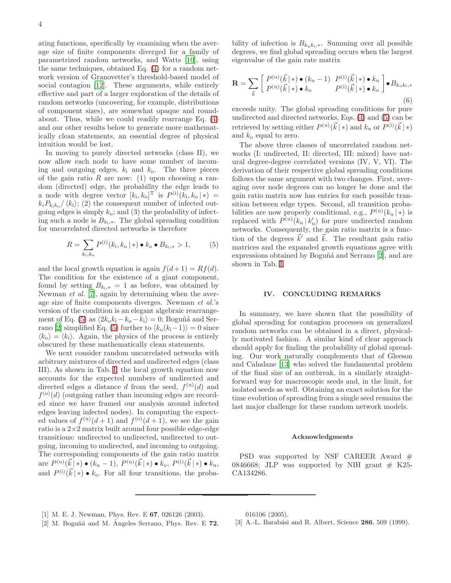ating functions, specifically by examining when the average size of finite components diverged for a family of parametrized random networks, and Watts [\[10\]](#page-4-6), using the same techniques, obtained Eq. [\(4\)](#page-2-1) for a random network version of Granovetter's threshold-based model of social contagion [\[12](#page-4-8)]. These arguments, while entirely effective and part of a larger exploration of the details of random networks (uncovering, for example, distributions of component sizes), are somewhat opaque and roundabout. Thus, while we could readily rearrange Eq. [\(4\)](#page-2-1) and our other results below to generate more mathematically clean statements, an essential degree of physical intuition would be lost.

In moving to purely directed networks (class II), we now allow each node to have some number of incoming and outgoing edges,  $k_i$  and  $k_o$ . The three pieces of the gain ratio  $R$  are now: (1) upon choosing a random (directed) edge, the probability the edge leads to a node with degree vector  $[k_i, k_o]^T$  is  $P^{(i)}(k_i, k_o | *) =$  $k_i P_{k_i k_0} / \langle k_i \rangle$ ; (2) the consequent number of infected outgoing edges is simply  $k_o$ ; and (3) the probability of infecting such a node is  $B_{k_i,*}$ . The global spreading condition for uncorrelated directed networks is therefore

<span id="page-3-3"></span>
$$
R = \sum_{k_1, k_0} P^{(i)}(k_1, k_0 | *) \bullet k_0 \bullet B_{k_1, *} > 1,
$$
 (5)

and the local growth equation is again  $f(d+1) = Rf(d)$ . The condition for the existence of a giant component, found by setting  $B_{k_i,*} = 1$  as before, was obtained by Newman et al. [\[7\]](#page-4-3), again by determining when the average size of finite components diverges. Newman et al.'s version of the condition is an elegant algebraic rearrange-ment of Eq. [\(5\)](#page-3-3) as  $\langle 2k_0k_i - k_0 - k_i \rangle = 0$ ; Boguñá and Ser-rano [\[2\]](#page-3-1) simplified Eq. [\(5\)](#page-3-3) further to  $\langle k_o(k_i-1)\rangle = 0$  since  $\langle k_{\rm o} \rangle = \langle k_{\rm i} \rangle$ . Again, the physics of the process is entirely obscured by these mathematically clean statements.

We next consider random uncorrelated networks with arbitrary mixtures of directed and undirected edges (class III). As shown in Tab. [I,](#page-2-0) the local growth equation now accounts for the expected numbers of undirected and directed edges a distance d from the seed,  $f^{(u)}(d)$  and  $f^{(0)}(d)$  (outgoing rather than incoming edges are recorded since we have framed our analysis around infected edges leaving infected nodes). In computing the expected values of  $f^{(u)}(d+1)$  and  $f^{(o)}(d+1)$ , we see the gain ratio is a  $2\times 2$  matrix built around four possible edge-edge transitions: undirected to undirected, undirected to outgoing, incoming to undirected, and incoming to outgoing. The corresponding components of the gain ratio matrix are  $P^{(u)}(\vec{k}\,|\,*) \bullet (k_u-1),\ P^{(u)}(\vec{k}\,|\,*) \bullet k_o,\ P^{(i)}(\vec{k}\,|\,*) \bullet k_u,$ and  $P^{(i)}(\vec{k}|\ast) \bullet k_o$ . For all four transitions, the probability of infection is  $B_{k_{\mathbf{u}}k_{\mathbf{i}},*}$ . Summing over all possible degrees, we find global spreading occurs when the largest eigenvalue of the gain rate matrix

$$
\mathbf{R} = \sum_{\vec{k}} \begin{bmatrix} P^{(\mathrm{u})}(\vec{k} \mid *) \bullet (k_{\mathrm{u}} - 1) & P^{(\mathrm{i})}(\vec{k} \mid *) \bullet k_{\mathrm{u}} \\ P^{(\mathrm{u})}(\vec{k} \mid *) \bullet k_{\mathrm{o}} & P^{(\mathrm{i})}(\vec{k} \mid *) \bullet k_{\mathrm{o}} \end{bmatrix} \bullet B_{k_{\mathrm{u}}k_{\mathrm{i}},*} \tag{6}
$$

exceeds unity. The global spreading conditions for pure undirected and directed networks, Eqs. [\(4\)](#page-2-1) and [\(5\)](#page-3-3) can be retrieved by setting either  $P^{(u)}(\vec{k} \mid * )$  and  $k_u$  or  $P^{(i)}(\vec{k} \mid * )$ and  $k_0$  equal to zero.

The above three classes of uncorrelated random networks (I: undirected, II: directed, III: mixed) have natural degree-degree correlated versions (IV, V, VI). The derivation of their respective global spreading conditions follows the same argument with two changes. First, averaging over node degrees can no longer be done and the gain ratio matrix now has entries for each possible transition between edge types. Second, all transition probabilities are now properly conditional, e.g.,  $P^{(u)}(k_u | *)$  is replaced with  $P^{(u)}(k_u | k_u')$  for pure undirected random networks. Consequently, the gain ratio matrix is a function of the degrees  $\vec{k}'$  and  $\vec{k}$ . The resultant gain ratio matrices and the expanded growth equations agree with expressions obtained by Boguñá and Serrano [\[2](#page-3-1)], and are shown in Tab. [I](#page-2-0)

### IV. CONCLUDING REMARKS

In summary, we have shown that the possibility of global spreading for contagion processes on generalized random networks can be obtained in a direct, physically motivated fashion. A similar kind of clear approach should apply for finding the probability of global spreading. Our work naturally complements that of Gleeson and Cahalane [\[13\]](#page-4-9) who solved the fundamental problem of the final size of an outbreak, in a similarly straightforward way for macroscopic seeds and, in the limit, for isolated seeds as well. Obtaining an exact solution for the time evolution of spreading from a single seed remains the last major challenge for these random network models.

#### Acknowledgments

PSD was supported by NSF CAREER Award  $#$ 0846668; JLP was supported by NIH grant  $#$  K25-CA134286.

<span id="page-3-0"></span>[1] M. E. J. Newman, Phys. Rev. E 67, 026126 (2003).

016106 (2005).

- <span id="page-3-1"></span>[2] M. Boguñá and M. Ángeles Serrano, Phys. Rev. E  $72$ ,
- <span id="page-3-2"></span>[3] A.-L. Barabási and R. Albert, Science 286, 509 (1999).